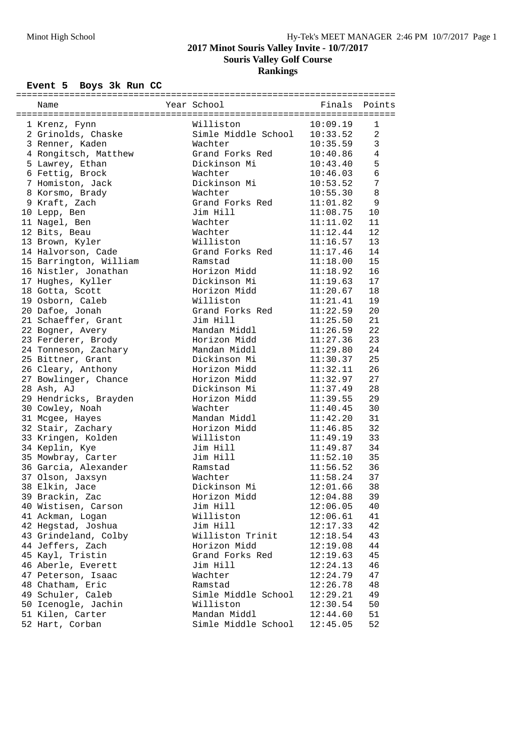# **2017 Minot Souris Valley Invite - 10/7/2017**

**Souris Valley Golf Course**

**Rankings**

### **Event 5 Boys 3k Run CC**

| 1 Krenz, Fynn          | Williston                                        | 10:09.19                 | 1               |
|------------------------|--------------------------------------------------|--------------------------|-----------------|
| 2 Grinolds, Chaske     |                                                  |                          | 2               |
| 3 Renner, Kaden        | Simle Middle School 10:33.52<br>Wachter 10:35.59 |                          | $\mathbf{3}$    |
| 4 Rongitsch, Matthew   | Grand Forks Red                                  | 10:40.86                 | $\overline{4}$  |
| 5 Lawrey, Ethan        | Dickinson Mi                                     | 10:43.40                 | 5               |
| 6 Fettig, Brock        | Wachter                                          | 10:46.03                 | $6\phantom{1}6$ |
| 7 Homiston, Jack       | Dickinson Mi                                     | 10:53.52                 | 7               |
| 8 Korsmo, Brady        | Wachter                                          | 10:55.30                 | $\,8\,$         |
| 9 Kraft, Zach          | Grand Forks Red                                  | 11:01.82                 | 9               |
| 10 Lepp, Ben           | Jim Hill                                         | 11:08.75                 | 10              |
| 11 Nagel, Ben          | Wachter                                          | 11:11.02                 | 11              |
| 12 Bits, Beau          | Wachter                                          | 11:12.44                 | 12              |
| 13 Brown, Kyler        | Williston                                        | 11:16.57                 | 13              |
| 14 Halvorson, Cade     | Grand Forks Red                                  |                          | 14              |
| 15 Barrington, William | Ramstad                                          | $11:17.46$<br>$11:18.00$ | 15              |
| 16 Nistler, Jonathan   | Horizon Midd                                     | 11:18.92                 | 16              |
| 17 Hughes, Kyller      | Dickinson Mi                                     | 11:19.63                 | 17              |
| 18 Gotta, Scott        | Horizon Midd                                     | 11:20.67                 | 18              |
| 19 Osborn, Caleb       | Williston                                        | 11:21.41                 | 19              |
| 20 Dafoe, Jonah        | Grand Forks Red                                  | 11:22.59                 | 20              |
| 21 Schaeffer, Grant    | Jim Hill                                         | 11:25.50                 | 21              |
| 22 Bogner, Avery       | Mandan Middl                                     | 11:26.59                 | 22              |
| 23 Ferderer, Brody     | Horizon Midd                                     | 11:27.36                 | 23              |
| 24 Tonneson, Zachary   | Mandan Middl                                     | 11:29.80                 | 24              |
| 25 Bittner, Grant      | Dickinson Mi                                     | 11:30.37                 | 25              |
| 26 Cleary, Anthony     | Horizon Midd                                     |                          | 26              |
| 27 Bowlinger, Chance   | Horizon Midd                                     | 11:32.11<br>11:32.97     | 27              |
| 28 Ash, AJ             | Dickinson Mi                                     | 11:37.49                 | 28              |
| 29 Hendricks, Brayden  | Horizon Midd                                     | 11:39.55                 | 29              |
| 30 Cowley, Noah        | Wachter                                          | 11:40.45                 | 30              |
| 31 Mcgee, Hayes        | Mandan Middl                                     | 11:42.20                 | 31              |
| 32 Stair, Zachary      | Horizon Midd                                     |                          | 32              |
| 33 Kringen, Kolden     | Williston                                        | 11:46.85<br>11:49.19     | 33              |
| 34 Keplin, Kye         | Jim Hill                                         | 11:49.87                 | 34              |
| 35 Mowbray, Carter     | Jim Hill                                         | 11:52.10                 | 35              |
| 36 Garcia, Alexander   | Ramstad                                          | 11:56.52                 | 36              |
| 37 Olson, Jaxsyn       | Wachter                                          | 11:58.24                 | 37              |
| 38 Elkin, Jace         | Dickinson Mi                                     | 12:01.66                 | 38              |
| 39 Brackin, Zac        | Horizon Midd                                     | 12:04.88                 | 39              |
| 40 Wistisen, Carson    | Jim Hill                                         | 12:06.05                 | 40              |
| 41 Ackman, Logan       | Williston                                        | 12:06.61                 | 41              |
| 42 Hegstad, Joshua     | Jim Hill                                         | 12:17.33                 | 42              |
| 43 Grindeland, Colby   | Williston Trinit                                 | 12:18.54                 | 43              |
| 44 Jeffers, Zach       | Horizon Midd                                     | 12:19.08                 | 44              |
| 45 Kayl, Tristin       | Grand Forks Red                                  | 12:19.63                 | 45              |
| 46 Aberle, Everett     | Jim Hill                                         | 12:24.13                 | 46              |
| 47 Peterson, Isaac     | Wachter                                          | 12:24.79                 | 47              |
| 48 Chatham, Eric       | Ramstad                                          | 12:26.78                 | 48              |
| 49 Schuler, Caleb      | Simle Middle School                              | 12:29.21                 | 49              |
| 50 Icenogle, Jachin    | Williston                                        | 12:30.54                 | 50              |
| 51 Kilen, Carter       | Mandan Middl                                     | 12:44.60                 | 51              |
| 52 Hart, Corban        | Simle Middle School                              | 12:45.05                 | 52              |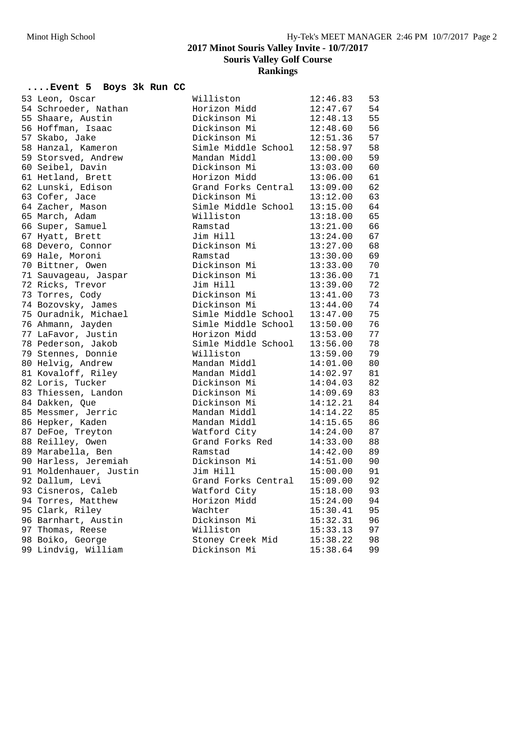#### **2017 Minot Souris Valley Invite - 10/7/2017**

**Souris Valley Golf Course**

**Rankings**

## **....Event 5 Boys 3k Run CC**

| 53 Leon, Oscar         | Williston           | 12:46.83 | 53 |
|------------------------|---------------------|----------|----|
| 54 Schroeder, Nathan   | Horizon Midd        | 12:47.67 | 54 |
| 55 Shaare, Austin      | Dickinson Mi        | 12:48.13 | 55 |
| 56 Hoffman, Isaac      | Dickinson Mi        | 12:48.60 | 56 |
| 57 Skabo, Jake         | Dickinson Mi        | 12:51.36 | 57 |
| 58 Hanzal, Kameron     | Simle Middle School | 12:58.97 | 58 |
| 59 Storsved, Andrew    | Mandan Middl        | 13:00.00 | 59 |
| 60 Seibel, Davin       | Dickinson Mi        | 13:03.00 | 60 |
| 61 Hetland, Brett      | Horizon Midd        | 13:06.00 | 61 |
| 62 Lunski, Edison      | Grand Forks Central | 13:09.00 | 62 |
| 63 Cofer, Jace         | Dickinson Mi        | 13:12.00 | 63 |
| 64 Zacher, Mason       | Simle Middle School | 13:15.00 | 64 |
| 65 March, Adam         | Williston           | 13:18.00 | 65 |
| 66 Super, Samuel       | Ramstad             | 13:21.00 | 66 |
| 67 Hyatt, Brett        | Jim Hill            | 13:24.00 | 67 |
| 68 Devero, Connor      | Dickinson Mi        | 13:27.00 | 68 |
| 69 Hale, Moroni        | Ramstad             | 13:30.00 | 69 |
| 70 Bittner, Owen       | Dickinson Mi        | 13:33.00 | 70 |
| 71 Sauvageau, Jaspar   | Dickinson Mi        | 13:36.00 | 71 |
| 72 Ricks, Trevor       | Jim Hill            | 13:39.00 | 72 |
| 73 Torres, Cody        | Dickinson Mi        | 13:41.00 | 73 |
| 74 Bozovsky, James     | Dickinson Mi        | 13:44.00 | 74 |
| 75 Ouradnik, Michael   | Simle Middle School | 13:47.00 | 75 |
| 76 Ahmann, Jayden      | Simle Middle School | 13:50.00 | 76 |
| 77 LaFavor, Justin     | Horizon Midd        | 13:53.00 | 77 |
| 78 Pederson, Jakob     | Simle Middle School | 13:56.00 | 78 |
| 79 Stennes, Donnie     | Williston           | 13:59.00 | 79 |
| 80 Helvig, Andrew      | Mandan Middl        | 14:01.00 | 80 |
| 81 Kovaloff, Riley     | Mandan Middl        | 14:02.97 | 81 |
| 82 Loris, Tucker       | Dickinson Mi        | 14:04.03 | 82 |
| 83 Thiessen, Landon    | Dickinson Mi        | 14:09.69 | 83 |
| 84 Dakken, Que         | Dickinson Mi        | 14:12.21 | 84 |
| 85 Messmer, Jerric     | Mandan Middl        | 14:14.22 | 85 |
| 86 Hepker, Kaden       | Mandan Middl        | 14:15.65 | 86 |
| 87 DeFoe, Treyton      | Watford City        | 14:24.00 | 87 |
| 88 Reilley, Owen       | Grand Forks Red     | 14:33.00 | 88 |
| 89 Marabella, Ben      | Ramstad             | 14:42.00 | 89 |
| 90 Harless, Jeremiah   | Dickinson Mi        | 14:51.00 | 90 |
| 91 Moldenhauer, Justin | Jim Hill            | 15:00.00 | 91 |
| 92 Dallum, Levi        | Grand Forks Central | 15:09.00 | 92 |
| 93 Cisneros, Caleb     | Watford City        | 15:18.00 | 93 |
| 94 Torres, Matthew     | Horizon Midd        | 15:24.00 | 94 |
| 95 Clark, Riley        | Wachter             | 15:30.41 | 95 |
| 96 Barnhart, Austin    | Dickinson Mi        | 15:32.31 | 96 |
| 97 Thomas, Reese       | Williston           | 15:33.13 | 97 |
| 98 Boiko, George       | Stoney Creek Mid    | 15:38.22 | 98 |
| 99 Lindvig, William    | Dickinson Mi        | 15:38.64 | 99 |